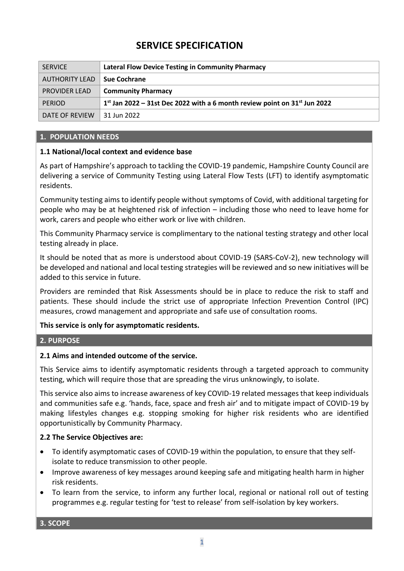# **SERVICE SPECIFICATION**

| <b>SERVICE</b>       | <b>Lateral Flow Device Testing in Community Pharmacy</b>                                          |
|----------------------|---------------------------------------------------------------------------------------------------|
| AUTHORITY LEAD       | <b>Sue Cochrane</b>                                                                               |
| <b>PROVIDER LEAD</b> | <b>Community Pharmacy</b>                                                                         |
| <b>PERIOD</b>        | 1 <sup>st</sup> Jan 2022 – 31st Dec 2022 with a 6 month review point on 31 <sup>st</sup> Jun 2022 |
| DATE OF REVIEW       | 31 Jun 2022                                                                                       |

#### **1. POPULATION NEEDS**

#### **1.1 National/local context and evidence base**

As part of Hampshire's approach to tackling the COVID-19 pandemic, Hampshire County Council are delivering a service of Community Testing using Lateral Flow Tests (LFT) to identify asymptomatic residents.

Community testing aims to identify people without symptoms of Covid, with additional targeting for people who may be at heightened risk of infection – including those who need to leave home for work, carers and people who either work or live with children.

This Community Pharmacy service is complimentary to the national testing strategy and other local testing already in place.

It should be noted that as more is understood about COVID-19 (SARS-CoV-2), new technology will be developed and national and local testing strategies will be reviewed and so new initiatives will be added to this service in future.

Providers are reminded that Risk Assessments should be in place to reduce the risk to staff and patients. These should include the strict use of appropriate Infection Prevention Control (IPC) measures, crowd management and appropriate and safe use of consultation rooms.

### **This service is only for asymptomatic residents.**

#### **2. PURPOSE**

### **2.1 Aims and intended outcome of the service.**

This Service aims to identify asymptomatic residents through a targeted approach to community testing, which will require those that are spreading the virus unknowingly, to isolate.

This service also aims to increase awareness of key COVID-19 related messages that keep individuals and communities safe e.g. 'hands, face, space and fresh air' and to mitigate impact of COVID-19 by making lifestyles changes e.g. stopping smoking for higher risk residents who are identified opportunistically by Community Pharmacy.

#### **2.2 The Service Objectives are:**

- To identify asymptomatic cases of COVID-19 within the population, to ensure that they selfisolate to reduce transmission to other people.
- Improve awareness of key messages around keeping safe and mitigating health harm in higher risk residents.
- To learn from the service, to inform any further local, regional or national roll out of testing programmes e.g. regular testing for 'test to release' from self-isolation by key workers.

**3. SCOPE**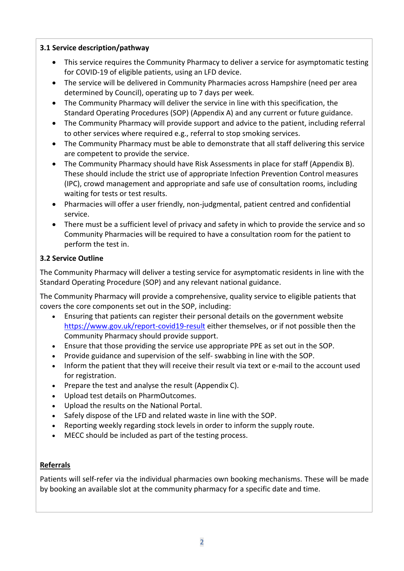## **3.1 Service description/pathway**

- This service requires the Community Pharmacy to deliver a service for asymptomatic testing for COVID-19 of eligible patients, using an LFD device.
- The service will be delivered in Community Pharmacies across Hampshire (need per area determined by Council), operating up to 7 days per week.
- The Community Pharmacy will deliver the service in line with this specification, the Standard Operating Procedures (SOP) (Appendix A) and any current or future guidance.
- The Community Pharmacy will provide support and advice to the patient, including referral to other services where required e.g., referral to stop smoking services.
- The Community Pharmacy must be able to demonstrate that all staff delivering this service are competent to provide the service.
- The Community Pharmacy should have Risk Assessments in place for staff (Appendix B). These should include the strict use of appropriate Infection Prevention Control measures (IPC), crowd management and appropriate and safe use of consultation rooms, including waiting for tests or test results.
- Pharmacies will offer a user friendly, non-judgmental, patient centred and confidential service.
- There must be a sufficient level of privacy and safety in which to provide the service and so Community Pharmacies will be required to have a consultation room for the patient to perform the test in.

### **3.2 Service Outline**

The Community Pharmacy will deliver a testing service for asymptomatic residents in line with the Standard Operating Procedure (SOP) and any relevant national guidance.

The Community Pharmacy will provide a comprehensive, quality service to eligible patients that covers the core components set out in the SOP, including:

- Ensuring that patients can register their personal details on the government website <https://www.gov.uk/report-covid19-result> either themselves, or if not possible then the Community Pharmacy should provide support.
- Ensure that those providing the service use appropriate PPE as set out in the SOP.
- Provide guidance and supervision of the self- swabbing in line with the SOP.
- Inform the patient that they will receive their result via text or e-mail to the account used for registration.
- Prepare the test and analyse the result (Appendix C).
- Upload test details on PharmOutcomes.
- Upload the results on the National Portal.
- Safely dispose of the LFD and related waste in line with the SOP.
- Reporting weekly regarding stock levels in order to inform the supply route.
- MECC should be included as part of the testing process.

### **Referrals**

Patients will self-refer via the individual pharmacies own booking mechanisms. These will be made by booking an available slot at the community pharmacy for a specific date and time.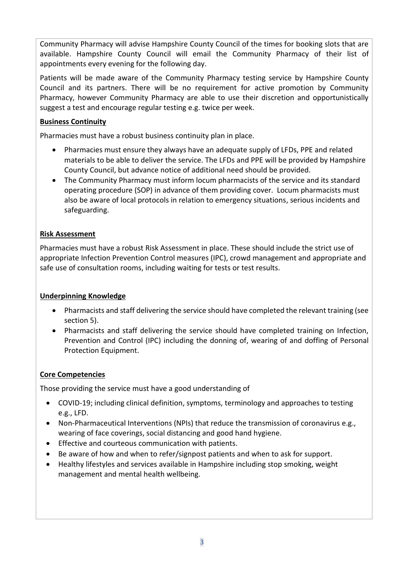Community Pharmacy will advise Hampshire County Council of the times for booking slots that are available. Hampshire County Council will email the Community Pharmacy of their list of appointments every evening for the following day.

Patients will be made aware of the Community Pharmacy testing service by Hampshire County Council and its partners. There will be no requirement for active promotion by Community Pharmacy, however Community Pharmacy are able to use their discretion and opportunistically suggest a test and encourage regular testing e.g. twice per week.

### **Business Continuity**

Pharmacies must have a robust business continuity plan in place.

- Pharmacies must ensure they always have an adequate supply of LFDs, PPE and related materials to be able to deliver the service. The LFDs and PPE will be provided by Hampshire County Council, but advance notice of additional need should be provided.
- The Community Pharmacy must inform locum pharmacists of the service and its standard operating procedure (SOP) in advance of them providing cover. Locum pharmacists must also be aware of local protocols in relation to emergency situations, serious incidents and safeguarding.

### **Risk Assessment**

Pharmacies must have a robust Risk Assessment in place. These should include the strict use of appropriate Infection Prevention Control measures (IPC), crowd management and appropriate and safe use of consultation rooms, including waiting for tests or test results.

### **Underpinning Knowledge**

- Pharmacists and staff delivering the service should have completed the relevant training (see section 5).
- Pharmacists and staff delivering the service should have completed training on Infection, Prevention and Control (IPC) including the donning of, wearing of and doffing of Personal Protection Equipment.

### **Core Competencies**

Those providing the service must have a good understanding of

- COVID-19; including clinical definition, symptoms, terminology and approaches to testing e.g., LFD.
- Non-Pharmaceutical Interventions (NPIs) that reduce the transmission of coronavirus e.g., wearing of face coverings, social distancing and good hand hygiene.
- Effective and courteous communication with patients.
- Be aware of how and when to refer/signpost patients and when to ask for support.
- Healthy lifestyles and services available in Hampshire including stop smoking, weight management and mental health wellbeing.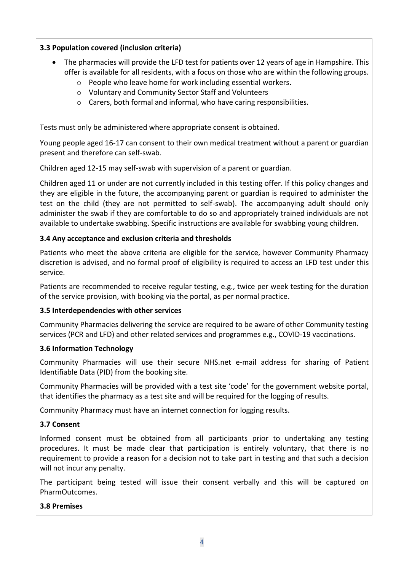### **3.3 Population covered (inclusion criteria)**

- The pharmacies will provide the LFD test for patients over 12 years of age in Hampshire. This offer is available for all residents, with a focus on those who are within the following groups.
	- o People who leave home for work including essential workers.
	- o Voluntary and Community Sector Staff and Volunteers
	- o Carers, both formal and informal, who have caring responsibilities.

Tests must only be administered where appropriate consent is obtained.

Young people aged 16-17 can consent to their own medical treatment without a parent or guardian present and therefore can self-swab.

Children aged 12-15 may self-swab with supervision of a parent or guardian.

Children aged 11 or under are not currently included in this testing offer. If this policy changes and they are eligible in the future, the accompanying parent or guardian is required to administer the test on the child (they are not permitted to self-swab). The accompanying adult should only administer the swab if they are comfortable to do so and appropriately trained individuals are not available to undertake swabbing. Specific instructions are available for swabbing young children.

### **3.4 Any acceptance and exclusion criteria and thresholds**

Patients who meet the above criteria are eligible for the service, however Community Pharmacy discretion is advised, and no formal proof of eligibility is required to access an LFD test under this service.

Patients are recommended to receive regular testing, e.g., twice per week testing for the duration of the service provision, with booking via the portal, as per normal practice.

### **3.5 Interdependencies with other services**

Community Pharmacies delivering the service are required to be aware of other Community testing services (PCR and LFD) and other related services and programmes e.g., COVID-19 vaccinations.

### **3.6 Information Technology**

Community Pharmacies will use their secure NHS.net e-mail address for sharing of Patient Identifiable Data (PID) from the booking site.

Community Pharmacies will be provided with a test site 'code' for the government website portal, that identifies the pharmacy as a test site and will be required for the logging of results.

Community Pharmacy must have an internet connection for logging results.

### **3.7 Consent**

Informed consent must be obtained from all participants prior to undertaking any testing procedures. It must be made clear that participation is entirely voluntary, that there is no requirement to provide a reason for a decision not to take part in testing and that such a decision will not incur any penalty.

The participant being tested will issue their consent verbally and this will be captured on PharmOutcomes.

### **3.8 Premises**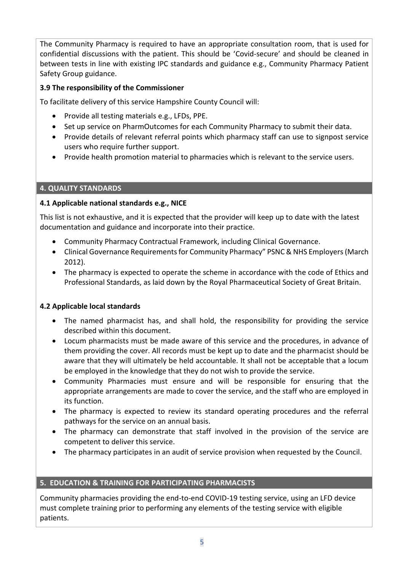The Community Pharmacy is required to have an appropriate consultation room, that is used for confidential discussions with the patient. This should be 'Covid-secure' and should be cleaned in between tests in line with existing IPC standards and guidance e.g., Community Pharmacy Patient Safety Group guidance.

## **3.9 The responsibility of the Commissioner**

To facilitate delivery of this service Hampshire County Council will:

- Provide all testing materials e.g., LFDs, PPE.
- Set up service on PharmOutcomes for each Community Pharmacy to submit their data.
- Provide details of relevant referral points which pharmacy staff can use to signpost service users who require further support.
- Provide health promotion material to pharmacies which is relevant to the service users.

## **4. QUALITY STANDARDS**

## **4.1 Applicable national standards e.g., NICE**

This list is not exhaustive, and it is expected that the provider will keep up to date with the latest documentation and guidance and incorporate into their practice.

- Community Pharmacy Contractual Framework, including Clinical Governance.
- Clinical Governance Requirements for Community Pharmacy" PSNC & NHS Employers (March 2012).
- The pharmacy is expected to operate the scheme in accordance with the code of Ethics and Professional Standards, as laid down by the Royal Pharmaceutical Society of Great Britain.

## **4.2 Applicable local standards**

- The named pharmacist has, and shall hold, the responsibility for providing the service described within this document.
- Locum pharmacists must be made aware of this service and the procedures, in advance of them providing the cover. All records must be kept up to date and the pharmacist should be aware that they will ultimately be held accountable. It shall not be acceptable that a locum be employed in the knowledge that they do not wish to provide the service.
- Community Pharmacies must ensure and will be responsible for ensuring that the appropriate arrangements are made to cover the service, and the staff who are employed in its function.
- The pharmacy is expected to review its standard operating procedures and the referral pathways for the service on an annual basis.
- The pharmacy can demonstrate that staff involved in the provision of the service are competent to deliver this service.
- The pharmacy participates in an audit of service provision when requested by the Council.

## **5. EDUCATION & TRAINING FOR PARTICIPATING PHARMACISTS**

Community pharmacies providing the end-to-end COVID-19 testing service, using an LFD device must complete training prior to performing any elements of the testing service with eligible patients.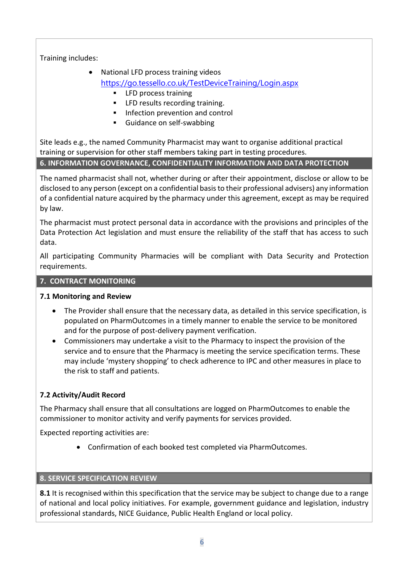Training includes:

- National LFD process training videos <https://go.tessello.co.uk/TestDeviceTraining/Login.aspx>
	- LFD process training
	- LFD results recording training.
	- **■** Infection prevention and control
	- **■** Guidance on self-swabbing

Site leads e.g., the named Community Pharmacist may want to organise additional practical training or supervision for other staff members taking part in testing procedures. **6. INFORMATION GOVERNANCE, CONFIDENTIALITY INFORMATION AND DATA PROTECTION**

The named pharmacist shall not, whether during or after their appointment, disclose or allow to be disclosed to any person (except on a confidential basis to their professional advisers) any information of a confidential nature acquired by the pharmacy under this agreement, except as may be required by law.

The pharmacist must protect personal data in accordance with the provisions and principles of the Data Protection Act legislation and must ensure the reliability of the staff that has access to such data.

All participating Community Pharmacies will be compliant with Data Security and Protection requirements.

## **7. CONTRACT MONITORING**

## **7.1 Monitoring and Review**

- The Provider shall ensure that the necessary data, as detailed in this service specification, is populated on PharmOutcomes in a timely manner to enable the service to be monitored and for the purpose of post-delivery payment verification.
- Commissioners may undertake a visit to the Pharmacy to inspect the provision of the service and to ensure that the Pharmacy is meeting the service specification terms. These may include 'mystery shopping' to check adherence to IPC and other measures in place to the risk to staff and patients.

## **7.2 Activity/Audit Record**

The Pharmacy shall ensure that all consultations are logged on PharmOutcomes to enable the commissioner to monitor activity and verify payments for services provided.

Expected reporting activities are:

• Confirmation of each booked test completed via PharmOutcomes.

## **8. SERVICE SPECIFICATION REVIEW**

**8.1** It is recognised within this specification that the service may be subject to change due to a range of national and local policy initiatives. For example, government guidance and legislation, industry professional standards, NICE Guidance, Public Health England or local policy.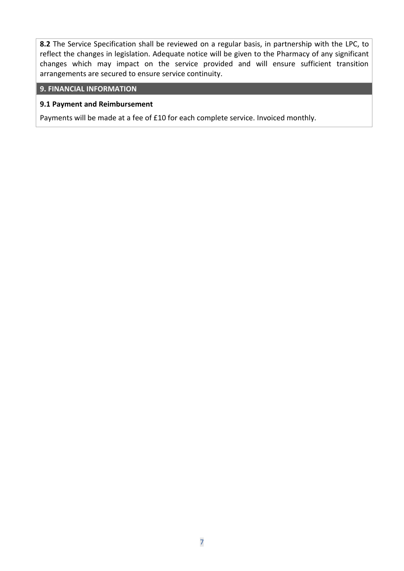**8.2** The Service Specification shall be reviewed on a regular basis, in partnership with the LPC, to reflect the changes in legislation. Adequate notice will be given to the Pharmacy of any significant changes which may impact on the service provided and will ensure sufficient transition arrangements are secured to ensure service continuity.

#### **9. FINANCIAL INFORMATION**

#### **9.1 Payment and Reimbursement**

Payments will be made at a fee of £10 for each complete service. Invoiced monthly.